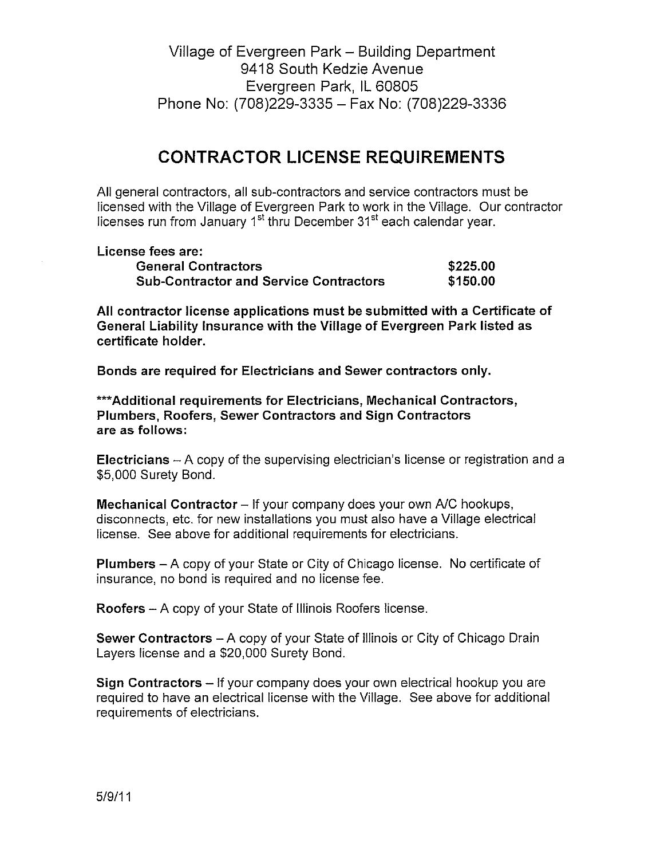Village of Evergreen Park – Building Department 9418 South Kedzie Avenue Evergreen Park, IL 60805 Phone No: (708)229-3335 - Fax No: (708)229-3336

## **CONTRACTOR LICENSE REQUIREMENTS**

All general contractors, all sub-contractors and service contractors must be licensed with the Village of Evergreen Park to work in the Village. Our contractor licenses run from January 1<sup>st</sup> thru December 31<sup>st</sup> each calendar year.

License fees are: Ge

| .<br><b>General Contractors</b>               | \$225.00 |
|-----------------------------------------------|----------|
| <b>Sub-Contractor and Service Contractors</b> | \$150.00 |

All contractor license applications must be submitted with a Certificate of General Liability Insurance with the Village of Evergreen Park listed as certificate holder.

Bonds are required for Electricians and Sewer contractors only.

\*\*\* Additional requirements for Electricians, Mechanical Contractors, Plumbers, Roofers, Sewer Contractors and Sign Contractors are as follows:

Electricians – A copy of the supervising electrician's license or registration and a \$5,000 Surety Bond.

Mechanical Contractor - If your company does your own A/C hookups, disconnects, etc. for new installations you must also have a Village electrical license. See above for additional requirements for electricians.

**Plumbers** – A copy of your State or City of Chicago license. No certificate of insurance, no bond is required and no license fee.

Roofers - A copy of your State of Illinois Roofers license.

Sewer Contractors - A copy of your State of Illinois or City of Chicago Drain Layers license and a \$20,000 Surety Bond.

Sign Contractors – If your company does your own electrical hookup you are required to have an electrical license with the Village. See above for additional requirements of electricians.